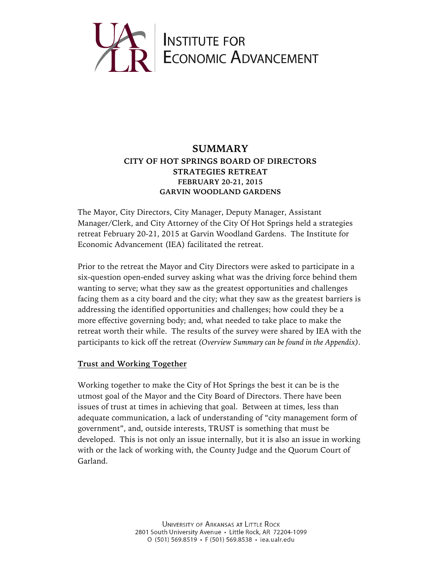

# **SUMMARY CITY OF HOT SPRINGS BOARD OF DIRECTORS STRATEGIES RETREAT FEBRUARY 20-21, 2015 GARVIN WOODLAND GARDENS**

The Mayor, City Directors, City Manager, Deputy Manager, Assistant Manager/Clerk, and City Attorney of the City Of Hot Springs held a strategies retreat February 20-21, 2015 at Garvin Woodland Gardens. The Institute for Economic Advancement (IEA) facilitated the retreat.

Prior to the retreat the Mayor and City Directors were asked to participate in a six-question open-ended survey asking what was the driving force behind them wanting to serve; what they saw as the greatest opportunities and challenges facing them as a city board and the city; what they saw as the greatest barriers is addressing the identified opportunities and challenges; how could they be a more effective governing body; and, what needed to take place to make the retreat worth their while. The results of the survey were shared by IEA with the participants to kick off the retreat *(Overview Summary can be found in the Appendix).*

### **Trust and Working Together**

Working together to make the City of Hot Springs the best it can be is the utmost goal of the Mayor and the City Board of Directors. There have been issues of trust at times in achieving that goal. Between at times, less than adequate communication, a lack of understanding of "city management form of government", and, outside interests, TRUST is something that must be developed. This is not only an issue internally, but it is also an issue in working with or the lack of working with, the County Judge and the Quorum Court of Garland.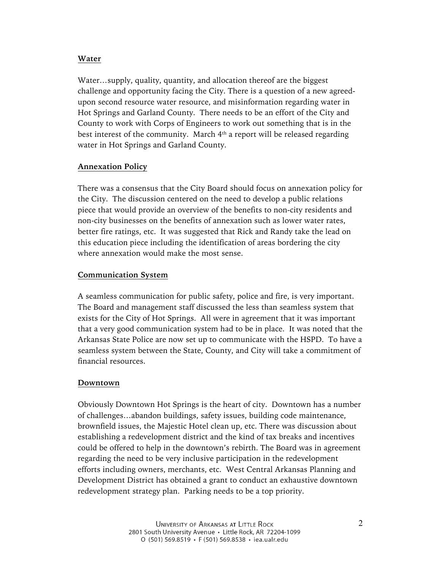## **Water**

Water…supply, quality, quantity, and allocation thereof are the biggest challenge and opportunity facing the City. There is a question of a new agreedupon second resource water resource, and misinformation regarding water in Hot Springs and Garland County. There needs to be an effort of the City and County to work with Corps of Engineers to work out something that is in the best interest of the community. March  $4<sup>th</sup>$  a report will be released regarding water in Hot Springs and Garland County.

### **Annexation Policy**

There was a consensus that the City Board should focus on annexation policy for the City. The discussion centered on the need to develop a public relations piece that would provide an overview of the benefits to non-city residents and non-city businesses on the benefits of annexation such as lower water rates, better fire ratings, etc. It was suggested that Rick and Randy take the lead on this education piece including the identification of areas bordering the city where annexation would make the most sense.

### **Communication System**

A seamless communication for public safety, police and fire, is very important. The Board and management staff discussed the less than seamless system that exists for the City of Hot Springs. All were in agreement that it was important that a very good communication system had to be in place. It was noted that the Arkansas State Police are now set up to communicate with the HSPD. To have a seamless system between the State, County, and City will take a commitment of financial resources.

#### **Downtown**

Obviously Downtown Hot Springs is the heart of city. Downtown has a number of challenges…abandon buildings, safety issues, building code maintenance, brownfield issues, the Majestic Hotel clean up, etc. There was discussion about establishing a redevelopment district and the kind of tax breaks and incentives could be offered to help in the downtown's rebirth. The Board was in agreement regarding the need to be very inclusive participation in the redevelopment efforts including owners, merchants, etc. West Central Arkansas Planning and Development District has obtained a grant to conduct an exhaustive downtown redevelopment strategy plan. Parking needs to be a top priority.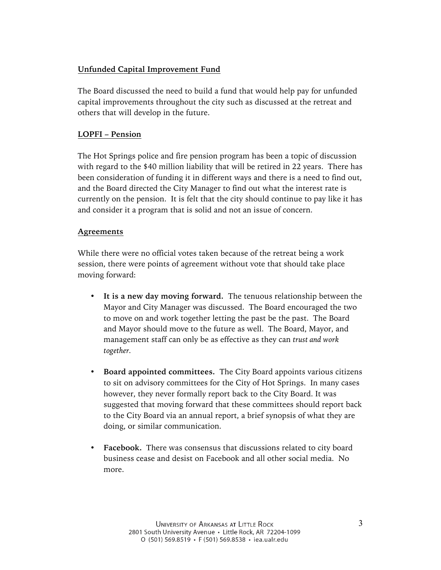## **Unfunded Capital Improvement Fund**

The Board discussed the need to build a fund that would help pay for unfunded capital improvements throughout the city such as discussed at the retreat and others that will develop in the future.

## **LOPFI – Pension**

The Hot Springs police and fire pension program has been a topic of discussion with regard to the \$40 million liability that will be retired in 22 years. There has been consideration of funding it in different ways and there is a need to find out, and the Board directed the City Manager to find out what the interest rate is currently on the pension. It is felt that the city should continue to pay like it has and consider it a program that is solid and not an issue of concern.

## **Agreements**

While there were no official votes taken because of the retreat being a work session, there were points of agreement without vote that should take place moving forward:

- **It is a new day moving forward.** The tenuous relationship between the Mayor and City Manager was discussed. The Board encouraged the two to move on and work together letting the past be the past. The Board and Mayor should move to the future as well. The Board, Mayor, and management staff can only be as effective as they can *trust and work together.*
- **Board appointed committees.** The City Board appoints various citizens to sit on advisory committees for the City of Hot Springs. In many cases however, they never formally report back to the City Board. It was suggested that moving forward that these committees should report back to the City Board via an annual report, a brief synopsis of what they are doing, or similar communication.
- **Facebook.** There was consensus that discussions related to city board business cease and desist on Facebook and all other social media. No more.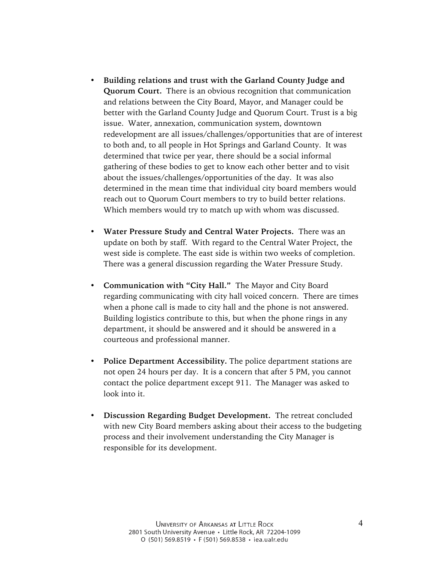- **Building relations and trust with the Garland County Judge and Quorum Court.** There is an obvious recognition that communication and relations between the City Board, Mayor, and Manager could be better with the Garland County Judge and Quorum Court. Trust is a big issue. Water, annexation, communication system, downtown redevelopment are all issues/challenges/opportunities that are of interest to both and, to all people in Hot Springs and Garland County. It was determined that twice per year, there should be a social informal gathering of these bodies to get to know each other better and to visit about the issues/challenges/opportunities of the day. It was also determined in the mean time that individual city board members would reach out to Quorum Court members to try to build better relations. Which members would try to match up with whom was discussed.
- **Water Pressure Study and Central Water Projects.** There was an update on both by staff. With regard to the Central Water Project, the west side is complete. The east side is within two weeks of completion. There was a general discussion regarding the Water Pressure Study.
- **Communication with "City Hall."** The Mayor and City Board regarding communicating with city hall voiced concern. There are times when a phone call is made to city hall and the phone is not answered. Building logistics contribute to this, but when the phone rings in any department, it should be answered and it should be answered in a courteous and professional manner.
- **Police Department Accessibility.** The police department stations are not open 24 hours per day. It is a concern that after 5 PM, you cannot contact the police department except 911. The Manager was asked to look into it.
- **Discussion Regarding Budget Development.** The retreat concluded with new City Board members asking about their access to the budgeting process and their involvement understanding the City Manager is responsible for its development.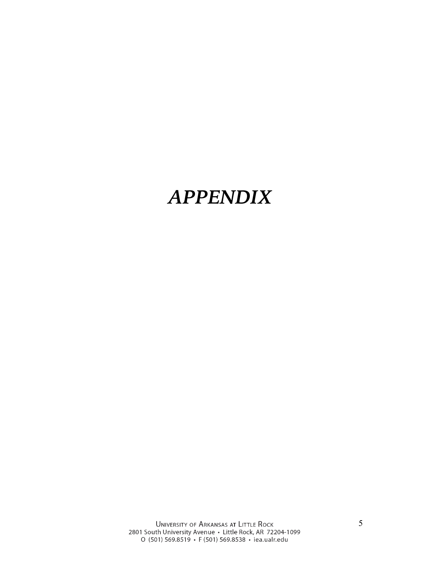# *APPENDIX*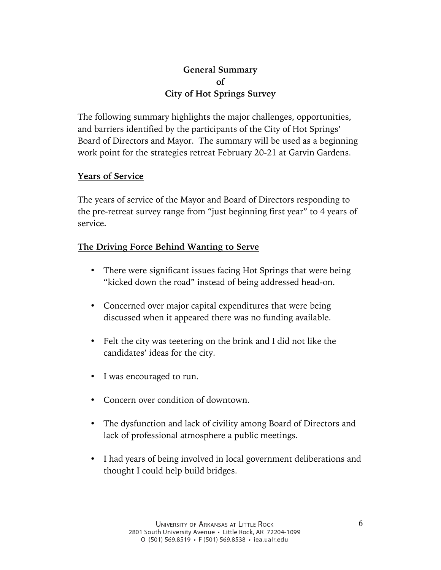# **General Summary of City of Hot Springs Survey**

The following summary highlights the major challenges, opportunities, and barriers identified by the participants of the City of Hot Springs' Board of Directors and Mayor. The summary will be used as a beginning work point for the strategies retreat February 20-21 at Garvin Gardens.

## **Years of Service**

The years of service of the Mayor and Board of Directors responding to the pre-retreat survey range from "just beginning first year" to 4 years of service.

# **The Driving Force Behind Wanting to Serve**

- There were significant issues facing Hot Springs that were being "kicked down the road" instead of being addressed head-on.
- Concerned over major capital expenditures that were being discussed when it appeared there was no funding available.
- Felt the city was teetering on the brink and I did not like the candidates' ideas for the city.
- I was encouraged to run.
- Concern over condition of downtown.
- The dysfunction and lack of civility among Board of Directors and lack of professional atmosphere a public meetings.
- I had years of being involved in local government deliberations and thought I could help build bridges.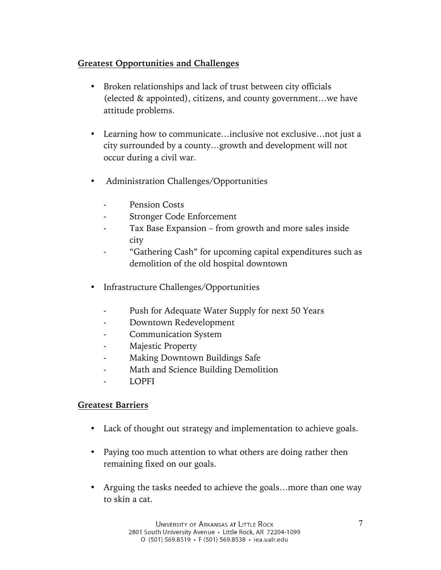# **Greatest Opportunities and Challenges**

- Broken relationships and lack of trust between city officials (elected & appointed), citizens, and county government…we have attitude problems.
- Learning how to communicate...inclusive not exclusive...not just a city surrounded by a county…growth and development will not occur during a civil war.
- Administration Challenges/Opportunities
	- Pension Costs
	- Stronger Code Enforcement
	- Tax Base Expansion from growth and more sales inside city
	- "Gathering Cash" for upcoming capital expenditures such as demolition of the old hospital downtown
- Infrastructure Challenges/Opportunities
	- Push for Adequate Water Supply for next 50 Years
	- Downtown Redevelopment
	- Communication System
	- Majestic Property
	- Making Downtown Buildings Safe
	- Math and Science Building Demolition
	- LOPFI

# **Greatest Barriers**

- Lack of thought out strategy and implementation to achieve goals.
- Paying too much attention to what others are doing rather then remaining fixed on our goals.
- Arguing the tasks needed to achieve the goals...more than one way to skin a cat.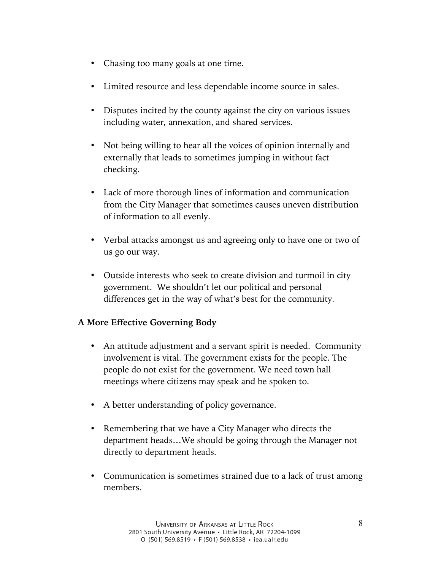- Chasing too many goals at one time.
- Limited resource and less dependable income source in sales.
- Disputes incited by the county against the city on various issues including water, annexation, and shared services.
- Not being willing to hear all the voices of opinion internally and externally that leads to sometimes jumping in without fact checking.
- Lack of more thorough lines of information and communication from the City Manager that sometimes causes uneven distribution of information to all evenly.
- Verbal attacks amongst us and agreeing only to have one or two of us go our way.
- Outside interests who seek to create division and turmoil in city government. We shouldn't let our political and personal differences get in the way of what's best for the community.

# **A More Effective Governing Body**

- An attitude adjustment and a servant spirit is needed. Community involvement is vital. The government exists for the people. The people do not exist for the government. We need town hall meetings where citizens may speak and be spoken to.
- A better understanding of policy governance.
- Remembering that we have a City Manager who directs the department heads…We should be going through the Manager not directly to department heads.
- Communication is sometimes strained due to a lack of trust among members.